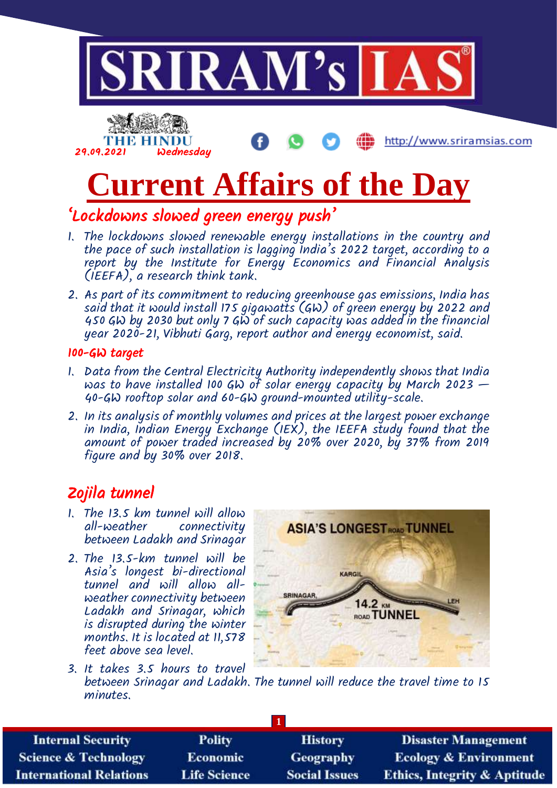



http://www.sriramsias.com

# **Current Affairs of the Day**

#### 'Lockdowns slowed green energy push'

- 1. The lockdowns slowed renewable energy installations in the country and the pace of such installation is lagging India's 2022 target, according to a report by the Institute for Energy Economics and Financial Analysis (IEEFA), a research think tank.
- 2. As part of its commitment to reducing greenhouse gas emissions, India has said that it would install 175 gigawatts (GW) of green energy by 2022 and 450 GW by 2030 but only 7 GW of such capacity was added in the financial year 2020-21, Vibhuti Garg, report author and energy economist, said.

#### 100-GW target

- 1. Data from the Central Electricity Authority independently shows that India was to have installed 100 GW of solar energy capacity by March 2023  $-$ 40-GW rooftop solar and 60-GW ground-mounted utility-scale.
- 2. In its analysis of monthly volumes and prices at the largest power exchange in India, Indian Energy Exchange (IEX), the IEEFA study found that the amount of power traded increased by 20% over 2020, by 37% from 2019 figure and by 30% over 2018.

### Zojila tunnel

- 1. The 13.5 km tunnel will allow all-weather connectivity between Ladakh and Srinagar
- 2. The 13.5-km tunnel will be Asia's longest bi-directional tunnel and will allow allweather connectivity between Ladakh and Srinagar, which is disrupted during the winter months. It is located at 11,578 feet above sea level.



3. It takes 3.5 hours to travel between Srinagar and Ladakh. The tunnel will reduce the travel time to 15 minutes.

| <b>Internal Security</b>        | <b>Polity</b>       | <b>History</b>       | <b>Disaster Management</b>              |  |  |
|---------------------------------|---------------------|----------------------|-----------------------------------------|--|--|
| <b>Science &amp; Technology</b> | <b>Economic</b>     | Geography            | <b>Ecology &amp; Environment</b>        |  |  |
| <b>International Relations</b>  | <b>Life Science</b> | <b>Social Issues</b> | <b>Ethics, Integrity &amp; Aptitude</b> |  |  |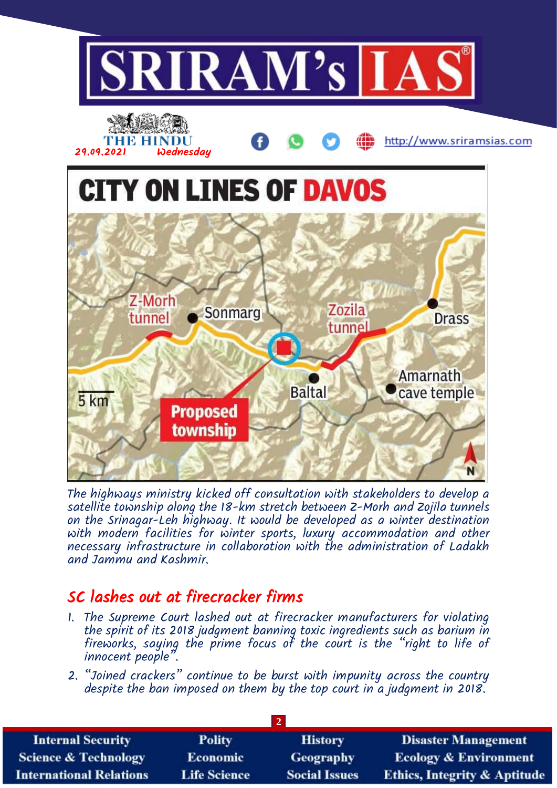

The highways ministry kicked off consultation with stakeholders to develop a satellite township along the 18-km stretch between Z-Morh and Zojila tunnels on the Srinagar-Leh highway. It would be developed as a winter destination with modern facilities for winter sports, luxury accommodation and other necessary infrastructure in collaboration with the administration of Ladakh and Jammu and Kashmir.

#### SC lashes out at firecracker firms

- 1. The Supreme Court lashed out at firecracker manufacturers for violating the spirit of its 2018 judgment banning toxic ingredients such as barium in fireworks, saying the prime focus of the court is the "right to life of innocent people".
- 2. "Joined crackers" continue to be burst with impunity across the country despite the ban imposed on them by the top court in a judgment in 2018.

| <b>Internal Security</b>        | <b>Polity</b>       | <b>History</b>       | <b>Disaster Management</b>              |  |  |
|---------------------------------|---------------------|----------------------|-----------------------------------------|--|--|
| <b>Science &amp; Technology</b> | <b>Economic</b>     | <b>Geography</b>     | <b>Ecology &amp; Environment</b>        |  |  |
| <b>International Relations</b>  | <b>Life Science</b> | <b>Social Issues</b> | <b>Ethics, Integrity &amp; Aptitude</b> |  |  |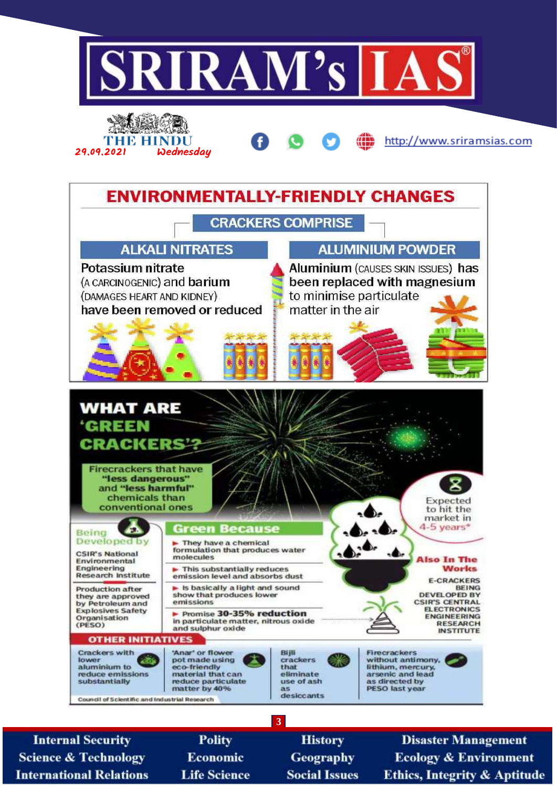

**Internal Security Science & Technology International Relations** 

**Polity Economic Life Science** 

**History Geography Social Issues** 

**Disaster Management Ecology & Environment Ethics, Integrity & Aptitude**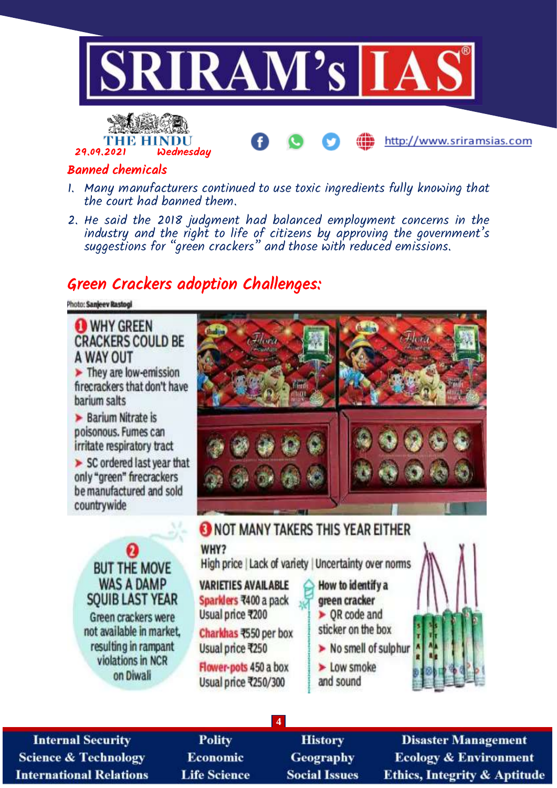



#### http://www.sriramsias.com

#### Banned chemicals

- 1. Many manufacturers continued to use toxic ingredients fully knowing that the court had banned them.
- 2. He said the 2018 judgment had balanced employment concerns in the industry and the right to life of citizens by approving the government's suggestions for "green crackers" and those with reduced emissions.

#### Green Crackers adoption Challenges:

Photo: Sanjeev Rastogi

**WHY GREEN CRACKERS COULD BE** A WAY OUT They are low-emission firecrackers that don't have barium salts  $\blacktriangleright$  Barium Nitrate is poisonous. Fumes can irritate respiratory tract  $\triangleright$  SC ordered last year that only "green" firecrackers be manufactured and sold countrywide O NOT MANY TAKERS THIS YEAR EITHER WHY? High price | Lack of variety | Uncertainty over norms **BUT THE MOVE WAS A DAMP VARIETIES AVAILABLE** How to identify a **SOUIB LAST YEAR** Sparklers ₹400 a pack green cracker Usual price ₹200  $\triangleright$  OR code and Green crackers were sticker on the box not available in market. Charkhas ₹550 per box resulting in rampant > No smell of sulphur Usual price ₹250 violations in NCR  $\blacktriangleright$  Low smoke Flower-pots 450 a box on Diwali and sound Usual price ₹250/300

**4**

**Internal Security Science & Technology International Relations** 

**Polity Economic Life Science** 

**History** Geography **Social Issues** 

**Disaster Management Ecology & Environment** Ethics, Integrity & Aptitude